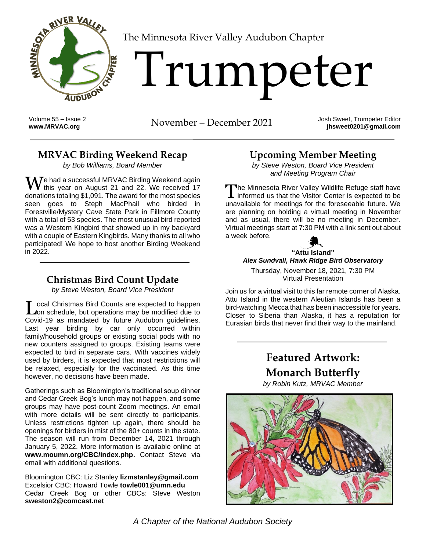

[T](http://www.MRVAC.org)he Minnesota River Valley Audubon Chapter

# Trumpeter

Volume 55 – Issue 2

**[www.MRVAC.org](http://www.mrvac.org/)** November – December 2021 Josh Sweet, Trumpeter Editor

**jhsweet0201@gmail.com**

#### **MRVAC Birding Weekend Recap**

*by Bob Williams, Board Member*

We had a successful MRVAC Birding Weekend again<br>
We his year on August 21 and 22. We received 17 this year on August 21 and 22. We received 17 donations totaling \$1,091. The award for the most species seen goes to Steph MacPhail who birded in Forestville/Mystery Cave State Park in Fillmore County with a total of 53 species. The most unusual bird reported was a Western Kingbird that showed up in my backyard with a couple of Eastern Kingbirds. Many thanks to all who participated! We hope to host another Birding Weekend in 2022.

### **Christmas Bird Count Update**

*by Steve Weston, Board Vice President*

Local Christmas Bird Counts are expected to happen<br> **Lon** schedule, but operations may be modified due to on schedule, but operations may be modified due to Covid-19 as mandated by future Audubon guidelines. Last year birding by car only occurred within family/household groups or existing social pods with no new counters assigned to groups. Existing teams were expected to bird in separate cars. With vaccines widely used by birders, it is expected that most restrictions will be relaxed, especially for the vaccinated. As this time however, no decisions have been made.

Gatherings such as Bloomington's traditional soup dinner and Cedar Creek Bog's lunch may not happen, and some groups may have post-count Zoom meetings. An email with more details will be sent directly to participants. Unless restrictions tighten up again, there should be openings for birders in mist of the 80+ counts in the state. The season will run from December 14, 2021 through January 5, 2022. More information is available online at **[www.moumn.org/CBC/index.php.](http://www.moumn.org/CBC/index.php)** Contact Steve via email with additional questions.

Bloomington CBC: Liz Stanley **[lizmstanley@gmail.com](mailto:lizmstanley@gmail.com)** Excelsior CBC: Howard Towle **[towle001@umn.edu](mailto:towle001@umn.edu)** Cedar Creek Bog or other CBCs: Steve Weston **[sweston2@comcast.net](mailto:sweston2@comcast.net)**

## **Upcoming Member Meeting**

*by Steve Weston, Board Vice President and Meeting Program Chair*

**The Minnesota River Valley Wildlife Refuge staff have** The Minnesota River Valley Wildlife Refuge staff have<br>informed us that the Visitor Center is expected to be unavailable for meetings for the foreseeable future. We are planning on holding a virtual meeting in November and as usual, there will be no meeting in December. Virtual meetings start at 7:30 PM with a link sent out about a week before.



*Alex Sundvall, Hawk Ridge Bird Observatory*

Thursday, November 18, 2021, 7:30 PM Virtual Presentation

Join us for a virtual visit to this far remote corner of Alaska. Attu Island in the western Aleutian Islands has been a bird-watching Mecca that has been inaccessible for years. Closer to Siberia than Alaska, it has a reputation for Eurasian birds that never find their way to the mainland.

## **Featured Artwork: Monarch Butterfly**

*by Robin Kutz, MRVAC Member*



*A Chapter of the National Audubon Society*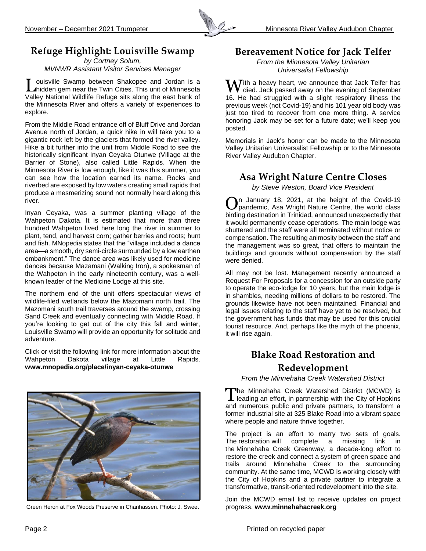

## **Refuge Highlight: Louisville Swamp**

*by Cortney Solum, MVNWR Assistant Visitor Services Manager*

ouisville Swamp between Shakopee and Jordan is a Louisville Swamp between Shakopee and Jordan is a<br>
Midden gem near the Twin Cities. This unit of Minnesota<br>
Minnesota Valley National Wildlife Refuge sits along the east bank of the Minnesota River and offers a variety of experiences to explore.

From the Middle Road entrance off of Bluff Drive and Jordan Avenue north of Jordan, a quick hike in will take you to a gigantic rock left by the glaciers that formed the river valley. Hike a bit further into the unit from Middle Road to see the historically significant Inyan Ceyaka Otunwe (Village at the Barrier of Stone), also called Little Rapids. When the Minnesota River is low enough, like it was this summer, you can see how the location earned its name. Rocks and riverbed are exposed by low waters creating small rapids that produce a mesmerizing sound not normally heard along this river.

Inyan Ceyaka, was a summer planting village of the Wahpeton Dakota. It is estimated that more than three hundred Wahpeton lived here long the river in summer to plant, tend, and harvest corn; gather berries and roots; hunt and fish. MNopedia states that the "village included a dance area—a smooth, dry semi-circle surrounded by a low earthen embankment." The dance area was likely used for medicine dances because Mazamani (Walking Iron), a spokesman of the Wahpeton in the early nineteenth century, was a wellknown leader of the Medicine Lodge at this site.

The northern end of the unit offers spectacular views of wildlife-filed wetlands below the Mazomani north trail. The Mazomani south trail traverses around the swamp, crossing Sand Creek and eventually connecting with Middle Road. If you're looking to get out of the city this fall and winter, Louisville Swamp will provide an opportunity for solitude and adventure.

Click or visit the following link for more information about the Wahpeton Dakota village at Little Rapids. **[www.mnopedia.org/place/inyan-ceyaka-otunwe](https://www.mnopedia.org/place/inyan-ceyaka-otunwe)**



Green Heron at Fox Woods Preserve in Chanhassen. Photo: J. Sweet

#### **Bereavement Notice for Jack Telfer**

*From the Minnesota Valley Unitarian Universalist Fellowship*

Tith a heavy heart, we announce that Jack Telfer has  $\boldsymbol{V}$  died. Jack passed away on the evening of September 16. He had struggled with a slight respiratory illness the previous week (not Covid-19) and his 101 year old body was just too tired to recover from one more thing. A service honoring Jack may be set for a future date; we'll keep you posted.

Memorials in Jack's honor can be made to the Minnesota Valley Unitarian Universalist Fellowship or to the Minnesota River Valley Audubon Chapter.

#### **Asa Wright Nature Centre Closes**

*by Steve Weston, Board Vice President*

n January 18, 2021, at the height of the Covid-19 On January 18, 2021, at the height of the Covid-19 pandemic, Asa Wright Nature Centre, the world class birding destination in Trinidad, announced unexpectedly that it would permanently cease operations. The main lodge was shuttered and the staff were all terminated without notice or compensation. The resulting animosity between the staff and the management was so great, that offers to maintain the buildings and grounds without compensation by the staff were denied.

All may not be lost. Management recently announced a Request For Proposals for a concession for an outside party to operate the eco-lodge for 10 years, but the main lodge is in shambles, needing millions of dollars to be restored. The grounds likewise have not been maintained. Financial and legal issues relating to the staff have yet to be resolved, but the government has funds that may be used for this crucial tourist resource. And, perhaps like the myth of the phoenix, it will rise again.

#### **Blake Road Restoration and Redevelopment**

*From the Minnehaha Creek Watershed District*

he Minnehaha Creek Watershed District (MCWD) is The Minnehaha Creek Watershed District (MCWD) is leading an effort, in partnership with the City of Hopkins and numerous public and private partners, to transform a former industrial site at 325 Blake Road into a vibrant space where people and nature thrive together.

The project is an effort to marry two sets of goals. The restoration will complete a missing link in the [Minnehaha Creek Greenway,](http://minnehahacreek.org/greenway) a decade-long effort to restore the creek and connect a system of green space and trails around Minnehaha Creek to the surrounding community. At the same time, MCWD is working closely with the City of Hopkins and a private partner to integrate a transformative, transit-oriented redevelopment into the site.

Join the MCWD email list to receive updates on project progress. **[www.minnehahacreek.org](http://www.minnehahacreek.org/)**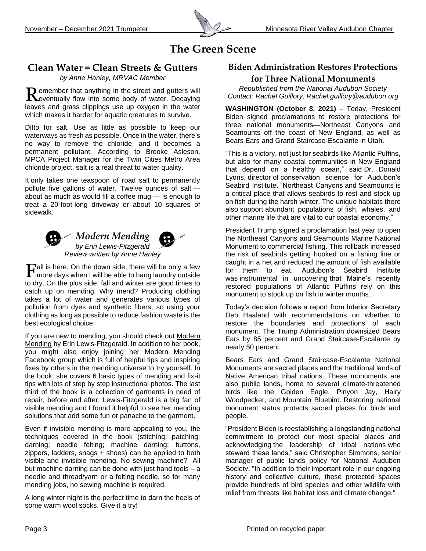

## **The Green Scene**

#### **Clean Water = Clean Streets & Gutters**

*by Anne Hanley, MRVAC Member*

emember that anything in the street and gutters will Remember that anything in the street and gutters will deventually flow into some body of water. Decaying leaves and grass clippings use up oxygen in the water which makes it harder for aquatic creatures to survive.

Ditto for salt. Use as little as possible to keep our waterways as fresh as possible. Once in the water, there's no way to remove the chloride, and it becomes a permanent pollutant. According to Brooke Asleson, MPCA Project Manager for the Twin Cities Metro Area chloride project, salt is a real threat to water quality.

It only takes one teaspoon of road salt to permanently pollute five gallons of water. Twelve ounces of salt about as much as would fill a coffee mug — is enough to treat a 20-foot-long driveway or about 10 squares of sidewalk.



# *Modern Mending*

*by Erin Lewis-Fitzgerald Review written by Anne Hanley*

all is here. On the down side, there will be only a few  $\mathbf{F}$ all is here. On the down side, there will be only a few more days when I will be able to hang laundry outside to dry. On the plus side, fall and winter are good times to catch up on mending. Why mend? Producing clothing takes a lot of water and generates various types of pollution from dyes and synthetic fibers, so using your clothing as long as possible to reduce fashion waste is the best ecological choice.

If you are new to mending, you should check out Modern Mending by Erin Lewis-Fitzgerald. In addition to her book, you might also enjoy joining her Modern Mending Facebook group which is full of helpful tips and inspiring fixes by others in the mending universe to try yourself. In the book, she covers 6 basic types of mending and fix-it tips with lots of step by step instructional photos. The last third of the book is a collection of garments in need of repair, before and after. Lewis-Fitzgerald is a big fan of visible mending and I found it helpful to see her mending solutions that add some fun or panache to the garment.

Even if invisible mending is more appealing to you, the techniques covered in the book (stitching; patching; darning; needle felting; machine darning; buttons, zippers, ladders, snags + shoes) can be applied to both visible and invisible mending. No sewing machine? All but machine darning can be done with just hand tools – a needle and thread/yarn or a felting needle, so for many mending jobs, no sewing machine is required.

A long winter night is the perfect time to darn the heels of some warm wool socks. Give it a try!

#### **Biden Administration Restores Protections**

#### **for Three National Monuments**

*Republished from the National Audubon Society Contact: Rachel Guillory, [Rachel.guillory@audubon.org](mailto:Rachel.guillory@audubon.org)*

**WASHINGTON (October 8, 2021)** – Today, President Biden signed proclamations to restore protections for three national monuments—Northeast Canyons and Seamounts off the coast of New England, as well as Bears Ears and Grand Staircase-Escalante in Utah.

"This is a victory, not just for seabirds like Atlantic Puffins, but also for many coastal communities in New England that depend on a healthy ocean," said Dr. Donald Lyons, director of conservation science for Audubon's Seabird Institute. "Northeast Canyons and Seamounts is a critical place that allows seabirds to rest and stock up on fish during the harsh winter. The unique habitats there also support abundant populations of fish, whales, and other marine life that are vital to our coastal economy."

President Trump signed a proclamation last year to open the Northeast Canyons and Seamounts Marine National Monument [to commercial fishing.](https://www.audubon.org/news/protections-removed-atlantic-puffins-winter-home) This rollback increased the risk of seabirds getting hooked on a fishing line or caught in a net and reduced the amount of fish available for them to eat. Audubon's Seabird Institute was [instrumental in uncovering](https://www.audubon.org/news/audubon-scientists-uncover-winter-home-maine-atlantic-puffins) that Maine's recently restored populations of Atlantic Puffins rely on this monument to stock up on fish in winter months.

Today's decision follows a report from Interior Secretary Deb Haaland with recommendations on whether to restore the boundaries and protections of each monument. The Trump Administration downsized Bears Ears by 85 percent and Grand Staircase-Escalante by nearly 50 percent.

Bears Ears and Grand Staircase-Escalante National Monuments are sacred places and the traditional lands of Native American tribal nations. These monuments are also public lands, home to several climate-threatened birds like the Golden Eagle, Pinyon Jay, Hairy Woodpecker, and Mountain Bluebird. Restoring national monument status protects sacred places for birds and people.

"President Biden is reestablishing a longstanding national commitment to protect our most special places and acknowledging [the leadership of tribal nations](http://bearsearscoalition.org/bears-ears-national-monument-restored/) who steward these lands," said Christopher Simmons, senior manager of public lands policy for National Audubon Society. "In addition to their important role in our ongoing history and collective culture, these protected spaces provide hundreds of bird species and other wildlife with relief from threats like habitat loss and climate change."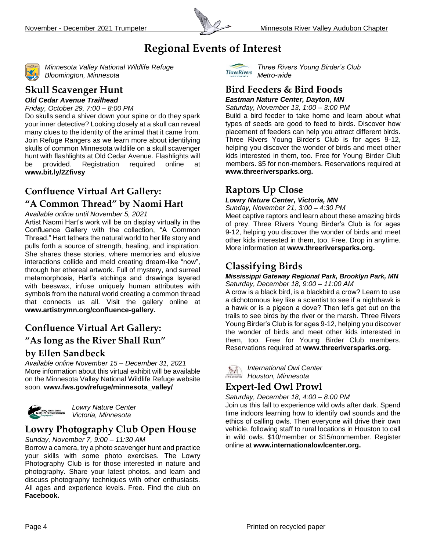

## **Regional Events of Interest**



*Minnesota Valley National Wildlife Refuge Bloomington, Minnesota*

## **Skull Scavenger Hunt**

*Old Cedar Avenue Trailhead Friday, October 29, 7:00 – 8:00 PM*

Do skulls send a shiver down your spine or do they spark your inner detective? Looking closely at a skull can reveal many clues to the identity of the animal that it came from. Join Refuge Rangers as we learn more about identifying skulls of common Minnesota wildlife on a skull scavenger hunt with flashlights at Old Cedar Avenue. Flashlights will be provided. Registration required online at **<www.bit.ly/2Zfivsy>**

#### **Confluence Virtual Art Gallery:**

#### **"A Common Thread" by Naomi Hart**

*Available online until November 5, 2021*

Artist Naomi Hart's work will be on display virtually in the Confluence Gallery with the collection, "A Common Thread." Hart tethers the natural world to her life story and pulls forth a source of strength, healing, and inspiration. She shares these stories, where memories and elusive interactions collide and meld creating dream-like "now", through her ethereal artwork. Full of mystery, and surreal metamorphosis, Hart's etchings and drawings layered with beeswax, infuse uniquely human attributes with symbols from the natural world creating a common thread that connects us all. Visit the gallery online at **[www.artistrymn.org/confluence-gallery.](http://www.artistrymn.org/confluence-gallery)** 

#### **Confluence Virtual Art Gallery:**

## **"As long as the River Shall Run" by Ellen Sandbeck**

*Available online November 15 – December 31, 2021* More information about this virtual exhibit will be available on the Minnesota Valley National Wildlife Refuge website soon. **[www.fws.gov/refuge/minnesota\\_valley/](http://www.fws.gov/refuge/minnesota_valley/)**



*Lowry Nature Center Victoria, Minnesota* 

## **Lowry Photography Club Open House**

#### *Sunday, November 7, 9:00 – 11:30 AM*

Borrow a camera, try a photo scavenger hunt and practice your skills with some photo exercises. The Lowry Photography Club is for those interested in nature and photography. Share your latest photos, and learn and discuss photography techniques with other enthusiasts. All ages and experience levels. Free. Find the club on **[Facebook.](https://www.facebook.com/groups/742299859815573)**



*Three Rivers Young Birder's Club Metro-wide*

### **Bird Feeders & Bird Foods**

*Eastman Nature Center, Dayton, MN Saturday, November 13, 1:00 – 3:00 PM*

Build a bird feeder to take home and learn about what types of seeds are good to feed to birds. Discover how placement of feeders can help you attract different birds. Three Rivers Young Birder's Club is for ages 9-12, helping you discover the wonder of birds and meet other kids interested in them, too. Free for Young Birder Club members. \$5 for non-members. Reservations required at **[www.threeriversparks.org.](http://www.threeriversparks.org/)**

#### **Raptors Up Close**

#### *Lowry Nature Center, Victoria, MN*

*Sunday, November 21, 3:00 – 4:30 PM*

Meet captive raptors and learn about these amazing birds of prey. Three Rivers Young Birder's Club is for ages 9-12, helping you discover the wonder of birds and meet other kids interested in them, too. Free. Drop in anytime. More information at **[www.threeriversparks.org.](http://www.threeriversparks.org/)**

## **Classifying Birds**

#### *Mississippi Gateway Regional Park, Brooklyn Park, MN Saturday, December 18, 9:00 – 11:00 AM*

A crow is a black bird, is a blackbird a crow? Learn to use a dichotomous key like a scientist to see if a nighthawk is a hawk or is a pigeon a dove? Then let's get out on the trails to see birds by the river or the marsh. Three Rivers Young Birder's Club is for ages 9-12, helping you discover the wonder of birds and meet other kids interested in them, too. Free for Young Birder Club members. Reservations required at **[www.threeriversparks.org.](http://www.threeriversparks.org/)**

*International Owl Center*  $\sim$ *Houston, Minnesota*

#### **Expert-led Owl Prowl**

*Saturday, December 18, 4:00 – 8:00 PM*

Join us this fall to experience wild owls after dark. Spend time indoors learning how to identify owl sounds and the ethics of calling owls. Then everyone will drive their own vehicle, following staff to rural locations in Houston to call in wild owls. \$10/member or \$15/nonmember. Register online at **[www.internationalowlcenter.org.](http://www.internationalowlcenter.org/)**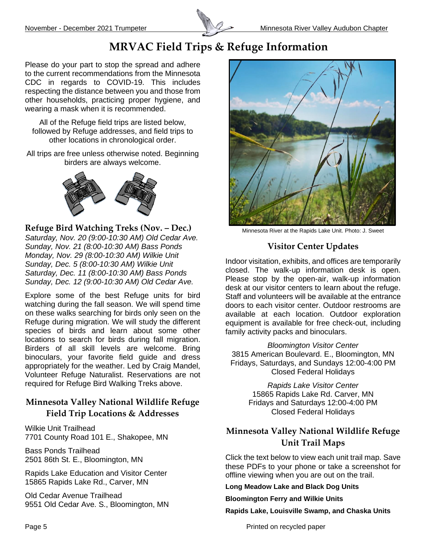

## **MRVAC Field Trips & Refuge Information**

Please do your part to stop the spread and adhere to the current recommendations from the Minnesota CDC in regards to COVID-19. This includes respecting the distance between you and those from other households, practicing proper hygiene, and wearing a mask when it is recommended.

All of the Refuge field trips are listed below, followed by Refuge addresses, and field trips to other locations in chronological order.

All trips are free unless otherwise noted. Beginning birders are always welcome.



**Refuge Bird Watching Treks (Nov. – Dec.)**

*Saturday, Nov. 20 (9:00-10:30 AM) Old Cedar Ave. Sunday, Nov. 21 (8:00-10:30 AM) Bass Ponds Monday, Nov. 29 (8:00-10:30 AM) Wilkie Unit Sunday, Dec. 5 (8:00-10:30 AM) Wilkie Unit Saturday, Dec. 11 (8:00-10:30 AM) Bass Ponds Sunday, Dec. 12 (9:00-10:30 AM) Old Cedar Ave.* 

Explore some of the best Refuge units for bird watching during the fall season. We will spend time on these walks searching for birds only seen on the Refuge during migration. We will study the different species of birds and learn about some other locations to search for birds during fall migration. Birders of all skill levels are welcome. Bring binoculars, your favorite field guide and dress appropriately for the weather. Led by Craig Mandel, Volunteer Refuge Naturalist. Reservations are not required for Refuge Bird Walking Treks above.

#### **Minnesota Valley National Wildlife Refuge Field Trip Locations & Addresses**

Wilkie Unit Trailhead 7701 County Road 101 E., Shakopee, MN

Bass Ponds Trailhead 2501 86th St. E., Bloomington, MN

Rapids Lake Education and Visitor Center 15865 Rapids Lake Rd., Carver, MN

Old Cedar Avenue Trailhead 9551 Old Cedar Ave. S., Bloomington, MN



Minnesota River at the Rapids Lake Unit. Photo: J. Sweet

#### **Visitor Center Updates**

Indoor visitation, exhibits, and offices are temporarily closed. The walk-up information desk is open. Please stop by the open-air, walk-up information desk at our visitor centers to learn about the refuge. Staff and volunteers will be available at the entrance doors to each visitor center. Outdoor restrooms are available at each location. Outdoor exploration equipment is available for free check-out, including family activity packs and binoculars.

*Bloomington Visitor Center* 3815 American Boulevard. E., Bloomington, MN Fridays, Saturdays, and Sundays 12:00-4:00 PM Closed Federal Holidays

> *Rapids Lake Visitor Center* 15865 Rapids Lake Rd. Carver, MN Fridays and Saturdays 12:00-4:00 PM Closed Federal Holidays

#### **Minnesota Valley National Wildlife Refuge Unit Trail Maps**

Click the text below to view each unit trail map. Save these PDFs to your phone or take a screenshot for offline viewing when you are out on the trail.

#### **[Long Meadow Lake and Black Dog Units](https://www.fws.gov/uploadedFiles/Long-Meadow-Black-Dog-Aug-2019.pdf)**

#### **[Bloomington Ferry and Wilkie Units](https://www.fws.gov/uploadedFiles/Bloomington-Ferry-Wilkie-2019.pdf)**

**[Rapids Lake, Louisville Swamp, and Chaska Units](https://www.fws.gov/uploadedFiles/Rapids-Lake-Louisville-Swamp-Chaska-Aug-2019.pdf)**